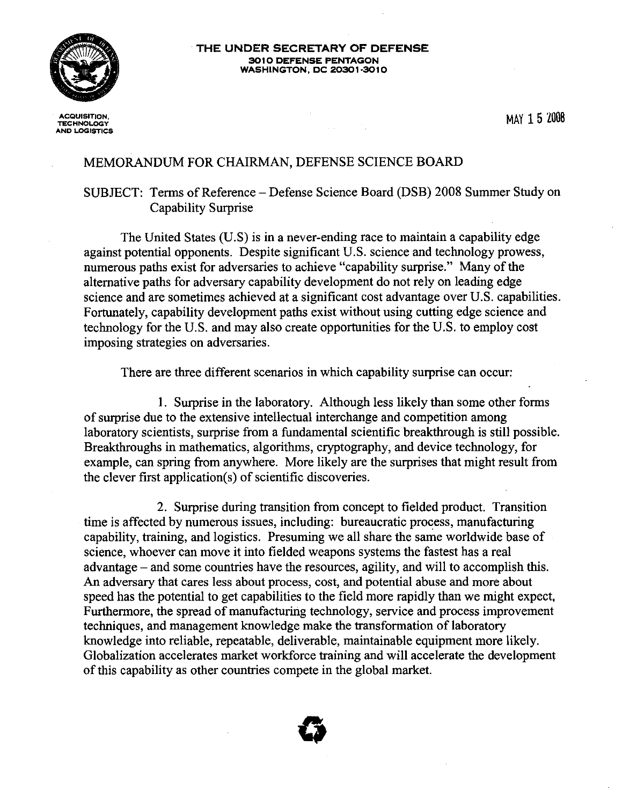

· **THE UNDER SECRETARY OF DEFENSE 3010 DEFENSE PENTAGON WASHINGTON, DC 20301·3010**

**ACQUISITION, TECHNOLOGY AND LOGISTICS** MAY 15 Z008

## MEMORANDUM FOR CHAIRMAN, DEFENSE SCIENCE BOARD

## SUBJECT: Terms of Reference – Defense Science Board (DSB) 2008 Summer Study on Capability Surprise

The United States (U.S) is in a never-ending race to maintain a capability edge against potential opponents. Despite significant U.S. science and technology prowess, numerous paths exist for adversaries to achieve "capability surprise." Many of the alternative paths for adversary capability development do not rely on leading edge science and are sometimes achieved at a significant cost advantage over U.S. capabilities. Fortunately, capability development paths exist without using cutting edge science and technology for the U.S. and may also create opportunities for the U.S. to employ cost imposing strategies on adversaries.

There are three different scenarios in which capability surprise can occur:

1. Surprise in the laboratory. Although less likely than some other forms ofsurprise due to the extensive intellectual interchange and competition among laboratory scientists, surprise from a fundamental scientific breakthrough is still possible. Breakthroughs in mathematics, algorithms, cryptography, and device technology, for example, can spring from anywhere. More likely are the surprises that might result from the clever first application(s) of scientific discoveries.

2. Surprise during transition from concept to fielded product. Transition time is affected by numerous issues, including: bureaucratic process, manufacturing capability, training, and logistics. Presuming we all share the same worldwide base of science, whoever can move it into fielded weapons systems the fastest has a real advantage - and some countries have the resources, agility, and will to accomplish this. An adversary that cares less about process, cost, and potential abuse and more about speed has the potential to get capabilities to the field more rapidly than we might expect. Furthermore, the spread of manufacturing technology, service and process improvement techniques, and management knowledge make the transformation of laboratory knowledge into reliable, repeatable, deliverable, maintainable equipment more likely. Globalization accelerates market workforce training and will accelerate the development of this capability as other countries compete in the global market.

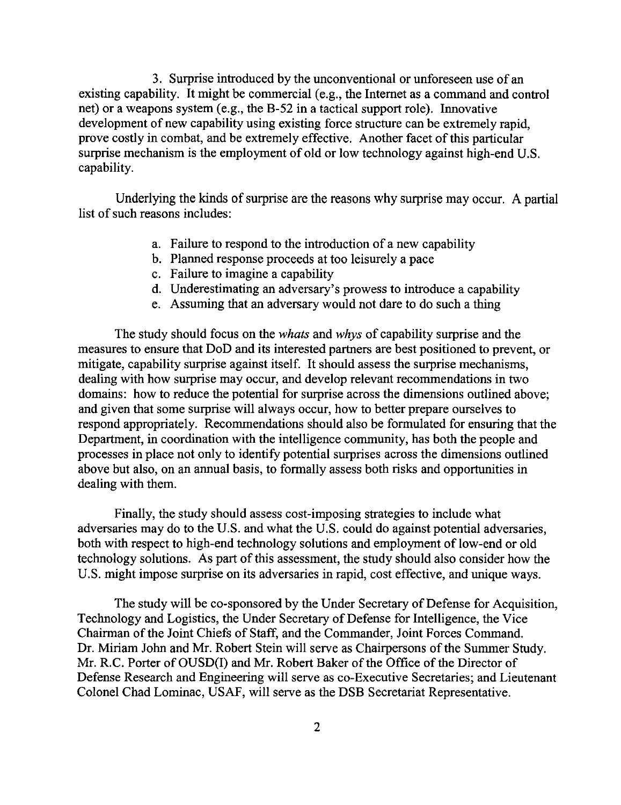3. Surprise introduced by the unconventional or unforeseen use of an existing capability. It might be commercial (e.g., the Internet as a command and control net) or a weapons system (e.g., the B-52 in a tactical support role). Innovative development of new capability using existing force structure can be extremely rapid, prove costly in combat, and be extremely effective. Another facet of this particular surprise mechanism is the employment of old or low technology against high-end U.S. capability.

Underlying the kinds of surprise are the reasons why surprise may occur. A partial list of such reasons includes:

- a. Failure to respond to the introduction of a new capability
- b. Planned response proceeds at too leisurely a pace
- c. Failure to imagine a capability
- d. Underestimating an adversary's prowess to introduce a capability
- e. Assuming that an adversary would not dare to do such a thing

The study should focus on the *whats* and *whys* of capability surprise and the measures to ensure that DoD and its interested partners are best positioned to prevent, or mitigate, capability surprise against itself. It should assess the surprise mechanisms, dealing with how surprise may occur, and develop relevant recommendations in two domains: how to reduce the potential for surprise across the dimensions outlined above; and given that some surprise will always occur, how to better prepare ourselves to respond appropriately. Recommendations should also be formulated for ensuring that the Department, in coordination with the intelligence community, has both the people and processes in place not only to identify potential surprises across the dimensions outlined above but also, on an annual basis, to formally assess both risks and opportunities in dealing with them.

Finally, the study should assess cost-imposing strategies to include what adversaries may do to the U.S. and what the U.S. could do against potential adversaries, both with respect to high-end technology solutions and employment of low-end or old technology solutions. As part of this assessment, the study should also consider how the U.S. might impose surprise on its adversaries in rapid, cost effective, and unique ways.

The study will be co-sponsored by the Under Secretary of Defense for Acquisition, Technology and Logistics, the Under Secretary of Defense for Intelligence, the Vice Chairman of the Joint Chiefs of Staff, and the Commander, Joint Forces Command. Dr. Miriam John and Mr. Robert Stein will serve as Chairpersons of the Summer Study. Mr. R.C. Porter of OUSD(I) and Mr. Robert Baker of the Office of the Director of Defense Research and Engineering will serve as co-Executive Secretaries; and Lieutenant Colonel Chad Lominac, USAF, will serve as the DSB Secretariat Representative.